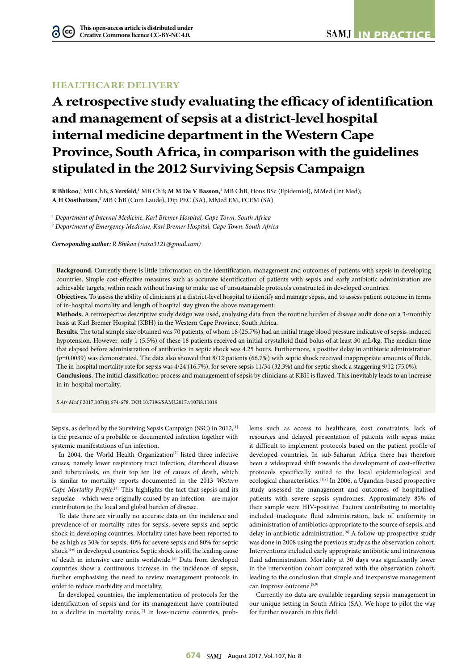## **HEALTHCARE DELIVERY**

# **A retrospective study evaluating the efficacy of identification and management of sepsis at a district-level hospital internal medicine department in the Western Cape Province, South Africa, in comparison with the guidelines stipulated in the 2012 Surviving Sepsis Campaign**

**R Bhikoo**,<sup>1</sup> MB ChB; **S Versfeld**,<sup>1</sup> MB ChB; **M M De V Basson**,<sup>1</sup> MB ChB, Hons BSc (Epidemiol), MMed (Int Med); A H Oosthuizen,<sup>2</sup> MB ChB (Cum Laude), Dip PEC (SA), MMed EM, FCEM (SA)

1  *Department of Internal Medicine, Karl Bremer Hospital, Cape Town, South Africa* 2  *Department of Emergency Medicine, Karl Bremer Hospital, Cape Town, South Africa*

*Corresponding author: R Bhikoo [\(raisa3121@gmail.com](mailto:raisa3121@gmail.com))*

**Background.** Currently there is little information on the identification, management and outcomes of patients with sepsis in developing countries. Simple cost-effective measures such as accurate identification of patients with sepsis and early antibiotic administration are achievable targets, within reach without having to make use of unsustainable protocols constructed in developed countries.

**Objectives.** To assess the ability of clinicians at a district-level hospital to identify and manage sepsis, and to assess patient outcome in terms of in-hospital mortality and length of hospital stay given the above management.

**Methods.** A retrospective descriptive study design was used, analysing data from the routine burden of disease audit done on a 3-monthly basis at Karl Bremer Hospital (KBH) in the Western Cape Province, South Africa.

**Results.** The total sample size obtained was 70 patients, of whom 18 (25.7%) had an initial triage blood pressure indicative of sepsis-induced hypotension. However, only 1 (5.5%) of these 18 patients received an initial crystalloid fluid bolus of at least 30 mL/kg. The median time that elapsed before administration of antibiotics in septic shock was 4.25 hours. Furthermore, a positive delay in antibiotic administration (*p*=0.0039) was demonstrated. The data also showed that 8/12 patients (66.7%) with septic shock received inappropriate amounts of fluids. The in-hospital mortality rate for sepsis was 4/24 (16.7%), for severe sepsis 11/34 (32.3%) and for septic shock a staggering 9/12 (75.0%). **Conclusions.** The initial classification process and management of sepsis by clinicians at KBH is flawed. This inevitably leads to an increase in in-hospital mortality.

*S Afr Med J* 2017;107(8):674-678. DOI[:10.7196/SAMJ.](10.7196/SAMJ)2017.v107i8.11019

Sepsis, as defined by the Surviving Sepsis Campaign (SSC) in 2012,<sup>[1]</sup> is the presence of a probable or documented infection together with systemic manifestations of an infection.

In 2004, the World Health Organization<sup>[2]</sup> listed three infective causes, namely lower respiratory tract infection, diarrhoeal disease and tuberculosis, on their top ten list of causes of death, which is similar to mortality reports documented in the 2013 *Western*  Cape Mortality Profile.<sup>[3]</sup> This highlights the fact that sepsis and its sequelae – which were originally caused by an infection – are major contributors to the local and global burden of disease.

To date there are virtually no accurate data on the incidence and prevalence of or mortality rates for sepsis, severe sepsis and septic shock in developing countries. Mortality rates have been reported to be as high as 30% for sepsis, 40% for severe sepsis and 80% for septic shock<sup>[4-6]</sup> in developed countries. Septic shock is still the leading cause of death in intensive care units worldwide.<sup>[5]</sup> Data from developed countries show a continuous increase in the incidence of sepsis, further emphasising the need to review management protocols in order to reduce morbidity and mortality.

In developed countries, the implementation of protocols for the identification of sepsis and for its management have contributed to a decline in mortality rates.[7] In low-income countries, problems such as access to healthcare, cost constraints, lack of resources and delayed presentation of patients with sepsis make it difficult to implement protocols based on the patient profile of developed countries. In sub-Saharan Africa there has therefore been a widespread shift towards the development of cost-effective protocols specifically suited to the local epidemiological and ecological characteristics.[8,9] In 2006, a Ugandan-based prospective study assessed the management and outcomes of hospitalised patients with severe sepsis syndromes. Approximately 85% of their sample were HIV-positive. Factors contributing to mortality included inadequate fluid administration, lack of uniformity in administration of antibiotics appropriate to the source of sepsis, and delay in antibiotic administration.<sup>[8]</sup> A follow-up prospective study was done in 2008 using the previous study as the observation cohort. Interventions included early appropriate antibiotic and intravenous fluid administration. Mortality at 30 days was significantly lower in the intervention cohort compared with the observation cohort, leading to the conclusion that simple and inexpensive management can improve outcome.<sup>[8,9]</sup>

Currently no data are available regarding sepsis management in our unique setting in South Africa (SA). We hope to pilot the way for further research in this field.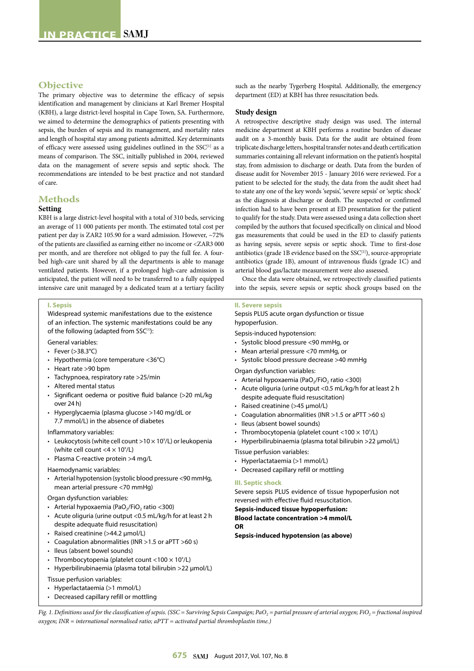## **Objective**

The primary objective was to determine the efficacy of sepsis identification and management by clinicians at Karl Bremer Hospital (KBH), a large district-level hospital in Cape Town, SA. Furthermore, we aimed to determine the demographics of patients presenting with sepsis, the burden of sepsis and its management, and mortality rates and length of hospital stay among patients admitted. Key determinants of efficacy were assessed using guidelines outlined in the  $SSC^{[1]}$  as a means of comparison. The SSC, initially published in 2004, reviewed data on the management of severe sepsis and septic shock. The recommendations are intended to be best practice and not standard of care.

## **Methods**

## **Setting**

KBH is a large district-level hospital with a total of 310 beds, servicing an average of 11 000 patients per month. The estimated total cost per patient per day is ZAR2 105.90 for a ward admission. However, ~72% of the patients are classified as earning either no income or <ZAR3 000 per month, and are therefore not obliged to pay the full fee. A fourbed high-care unit shared by all the departments is able to manage ventilated patients. However, if a prolonged high-care admission is anticipated, the patient will need to be transferred to a fully equipped intensive care unit managed by a dedicated team at a tertiary facility

#### **I. Sepsis**

Widespread systemic manifestations due to the existence of an infection. The systemic manifestations could be any of the following (adapted from SSC<sup>[1]</sup>):

General variables:

- Fever  $(>38.3^{\circ}C)$
- Hypothermia (core temperature <36°C)
- Heart rate >90 bpm
- Tachypnoea, respiratory rate >25/min
- Altered mental status
- Significant oedema or positive fluid balance (>20 mL/kg over 24 h)
- Hyperglycaemia (plasma glucose >140 mg/dL or 7.7 mmol/L) in the absence of diabetes
- Inflammatory variables:
- Leukocytosis (white cell count  $>10 \times 10^9$ /L) or leukopenia (white cell count  $<$  4  $\times$  10 $^{\circ}$ /L)
- Plasma C-reactive protein >4 mg/L

#### Haemodynamic variables:

• Arterial hypotension (systolic blood pressure <90 mmHg, mean arterial pressure <70 mmHg)

#### Organ dysfunction variables:

- Arterial hypoxaemia (PaO<sub>2</sub>/FiO<sub>2</sub> ratio <300)
- Acute oliguria (urine output <0.5 mL/kg/h for at least 2 h despite adequate fluid resuscitation)
- Raised creatinine (>44.2 µmol/L)
- Coagulation abnormalities (INR >1.5 or aPTT >60 s)
- Ileus (absent bowel sounds)
- Thrombocytopenia (platelet count <100  $\times$  10 $^{\circ}$ /L)
- Hyperbilirubinaemia (plasma total bilirubin >22 µmol/L)

Tissue perfusion variables:

- Hyperlactataemia (>1 mmol/L)
- Decreased capillary refill or mottling

such as the nearby Tygerberg Hospital. Additionally, the emergency department (ED) at KBH has three resuscitation beds.

#### **Study design**

A retrospective descriptive study design was used. The internal medicine department at KBH performs a routine burden of disease audit on a 3-monthly basis. Data for the audit are obtained from triplicate discharge letters, hospital transfer notes and death certification summaries containing all relevant information on the patient's hospital stay, from admission to discharge or death. Data from the burden of disease audit for November 2015 - January 2016 were reviewed. For a patient to be selected for the study, the data from the audit sheet had to state any one of the key words 'sepsis', 'severe sepsis' or 'septic shock' as the diagnosis at discharge or death. The suspected or confirmed infection had to have been present at ED presentation for the patient to qualify for the study. Data were assessed using a data collection sheet compiled by the authors that focused specifically on clinical and blood gas measurements that could be used in the ED to classify patients as having sepsis, severe sepsis or septic shock. Time to first-dose antibiotics (grade 1B evidence based on the  $SSC^{[1]}$ ), source-appropriate antibiotics (grade 1B), amount of intravenous fluids (grade 1C) and arterial blood gas/lactate measurement were also assessed.

Once the data were obtained, we retrospectively classified patients into the sepsis, severe sepsis or septic shock groups based on the

#### **II. Severe sepsis**

Sepsis PLUS acute organ dysfunction or tissue hypoperfusion.

Sepsis-induced hypotension:

- Systolic blood pressure <90 mmHg, or
- Mean arterial pressure <70 mmHg, or
- Systolic blood pressure decrease >40 mmHg

Organ dysfunction variables:

- Arterial hypoxaemia (PaO<sub>2</sub>/FiO<sub>2</sub> ratio <300)
- Acute oliguria (urine output <0.5 mL/kg/h for at least 2 h despite adequate fluid resuscitation)
- Raised creatinine (>45 µmol/L)
- Coagulation abnormalities (INR >1.5 or aPTT >60 s)
- Ileus (absent bowel sounds)
- Thrombocytopenia (platelet count <100  $\times$  10 $^{\circ}$ /L)
- Hyperbilirubinaemia (plasma total bilirubin >22 µmol/L)

Tissue perfusion variables:

- Hyperlactataemia (>1 mmol/L)
- Decreased capillary refill or mottling

#### **III. Septic shock**

Severe sepsis PLUS evidence of tissue hypoperfusion not reversed with effective fluid resuscitation.

## **Sepsis-induced tissue hypoperfusion:**

**Blood lactate concentration >4 mmol/L OR**

**Sepsis-induced hypotension (as above)**

*Fig. 1. Definitions used for the classification of sepsis.* (SSC = Surviving Sepsis Campaign; PaO<sub>2</sub> = partial pressure of arterial oxygen; FiO<sub>2</sub> = fractional inspired *oxygen; INR = international normalised ratio; aPTT = activated partial thromboplastin time.)*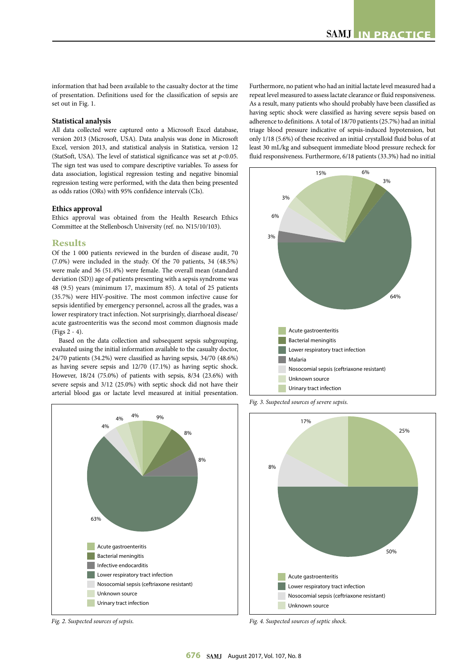information that had been available to the casualty doctor at the time of presentation. Definitions used for the classification of sepsis are set out in Fig. 1.

## **Statistical analysis**

All data collected were captured onto a Microsoft Excel database, version 2013 (Microsoft, USA). Data analysis was done in Microsoft Excel, version 2013, and statistical analysis in Statistica, version 12 (StatSoft, USA). The level of statistical significance was set at *p*<0.05. The sign test was used to compare descriptive variables. To assess for data association, logistical regression testing and negative binomial regression testing were performed, with the data then being presented as odds ratios (ORs) with 95% confidence intervals (CIs).

#### **Ethics approval**

Ethics approval was obtained from the Health Research Ethics Committee at the Stellenbosch University (ref. no. N15/10/103).

## **Results**

Of the 1 000 patients reviewed in the burden of disease audit, 70 (7.0%) were included in the study. Of the 70 patients, 34 (48.5%) were male and 36 (51.4%) were female. The overall mean (standard deviation (SD)) age of patients presenting with a sepsis syndrome was 48 (9.5) years (minimum 17, maximum 85). A total of 25 patients (35.7%) were HIV-positive. The most common infective cause for sepsis identified by emergency personnel, across all the grades, was a lower respiratory tract infection. Not surprisingly, diarrhoeal disease/ acute gastroenteritis was the second most common diagnosis made (Figs 2 - 4).

Based on the data collection and subsequent sepsis subgrouping, evaluated using the initial information available to the casualty doctor, 24/70 patients (34.2%) were classified as having sepsis, 34/70 (48.6%) as having severe sepsis and 12/70 (17.1%) as having septic shock. However, 18/24 (75.0%) of patients with sepsis, 8/34 (23.6%) with severe sepsis and 3/12 (25.0%) with septic shock did not have their arterial blood gas or lactate level measured at initial presentation.



*Fig. 2. Suspected sources of sepsis.*

Furthermore, no patient who had an initial lactate level measured had a repeat level measured to assess lactate clearance or fluid responsiveness. As a result, many patients who should probably have been classified as having septic shock were classified as having severe sepsis based on adherence to definitions. A total of 18/70 patients (25.7%) had an initial triage blood pressure indicative of sepsis-induced hypotension, but only 1/18 (5.6%) of these received an initial crystalloid fluid bolus of at least 30 mL/kg and subsequent immediate blood pressure recheck for fluid responsiveness. Furthermore, 6/18 patients (33.3%) had no initial



*Fig. 3. Suspected sources of severe sepsis.*



*Fig. 4. Suspected sources of septic shock.*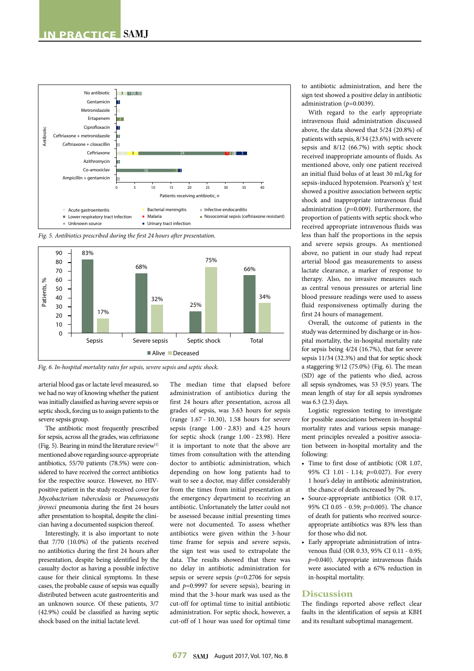

*Fig. 5. Antibiotics prescribed during the first 24 hours after presentation.*



*Fig. 6. In-hospital mortality rates for sepsis, severe sepsis and septic shock.*

arterial blood gas or lactate level measured, so we had no way of knowing whether the patient was initially classified as having severe sepsis or septic shock, forcing us to assign patients to the severe sepsis group.

The antibiotic most frequently prescribed for sepsis, across all the grades, was ceftriaxone (Fig. 5). Bearing in mind the literature review $[1]$ mentioned above regarding source-appropriate antibiotics, 55/70 patients (78.5%) were considered to have received the correct antibiotics for the respective source. However, no HIVpositive patient in the study received cover for *Mycobacterium tuberculosis* or *Pneumocystis jiroveci* pneumonia during the first 24 hours after presentation to hospital, despite the clinician having a documented suspicion thereof.

Interestingly, it is also important to note that 7/70 (10.0%) of the patients received no antibiotics during the first 24 hours after presentation, despite being identified by the casualty doctor as having a possible infective cause for their clinical symptoms. In these cases, the probable cause of sepsis was equally distributed between acute gastroenteritis and an unknown source. Of these patients, 3/7 (42.9%) could be classified as having septic shock based on the initial lactate level.

The median time that elapsed before administration of antibiotics during the first 24 hours after presentation, across all grades of sepsis, was 3.63 hours for sepsis (range 1.67 - 10.30), 1.58 hours for severe sepsis (range 1.00 - 2.83) and 4.25 hours for septic shock (range 1.00 - 23.98). Here it is important to note that the above are times from consultation with the attending doctor to antibiotic administration, which depending on how long patients had to wait to see a doctor, may differ considerably from the times from initial presentation at the emergency department to receiving an antibiotic. Unfortunately the latter could not be assessed because initial presenting times were not documented. To assess whether antibiotics were given within the 3-hour time frame for sepsis and severe sepsis, the sign test was used to extrapolate the data. The results showed that there was no delay in antibiotic administration for sepsis or severe sepsis (*p*=0.2706 for sepsis and *p*=0.9997 for severe sepsis), bearing in mind that the 3-hour mark was used as the cut-off for optimal time to initial antibiotic administration. For septic shock, however, a cut-off of 1 hour was used for optimal time

to antibiotic administration, and here the sign test showed a positive delay in antibiotic administration (*p*=0.0039).

With regard to the early appropriate intravenous fluid administration discussed above, the data showed that 5/24 (20.8%) of patients with sepsis, 8/34 (23.6%) with severe sepsis and 8/12 (66.7%) with septic shock received inappropriate amounts of fluids. As mentioned above, only one patient received an initial fluid bolus of at least 30 mL/kg for sepsis-induced hypotension. Pearson's  $\chi^2$  test showed a positive association between septic shock and inappropriate intravenous fluid administration (*p*=0.009). Furthermore, the proportion of patients with septic shock who received appropriate intravenous fluids was less than half the proportions in the sepsis and severe sepsis groups. As mentioned above, no patient in our study had repeat arterial blood gas measurements to assess lactate clearance, a marker of response to therapy. Also, no invasive measures such as central venous pressures or arterial line blood pressure readings were used to assess fluid responsiveness optimally during the first 24 hours of management.

Overall, the outcome of patients in the study was determined by discharge or in-hospital mortality, the in-hospital mortality rate for sepsis being 4/24 (16.7%), that for severe sepsis 11/34 (32.3%) and that for septic shock a staggering 9/12 (75.0%) (Fig. 6). The mean (SD) age of the patients who died, across all sepsis syndromes, was 53 (9.5) years. The mean length of stay for all sepsis syndromes was 6.3 (2.3) days.

Logistic regression testing to investigate for possible associations between in-hospital mortality rates and various sepsis management principles revealed a positive association between in-hospital mortality and the following:

- Time to first dose of antibiotic (OR 1.07, 95% CI 1.01 - 1.14; *p*=0.027). For every 1 hour's delay in antibiotic administration, the chance of death increased by 7%.
- Source-appropriate antibiotics (OR 0.17, 95% CI 0.05 - 0.59; *p*=0.005). The chance of death for patients who received sourceappropriate antibiotics was 83% less than for those who did not.
- Early appropriate administration of intravenous fluid (OR 0.33, 95% CI 0.11 - 0.95; *p*=0.040). Appropriate intravenous fluids were associated with a 67% reduction in in-hospital mortality.

#### **Discussion**

The findings reported above reflect clear faults in the identification of sepsis at KBH and its resultant suboptimal management.